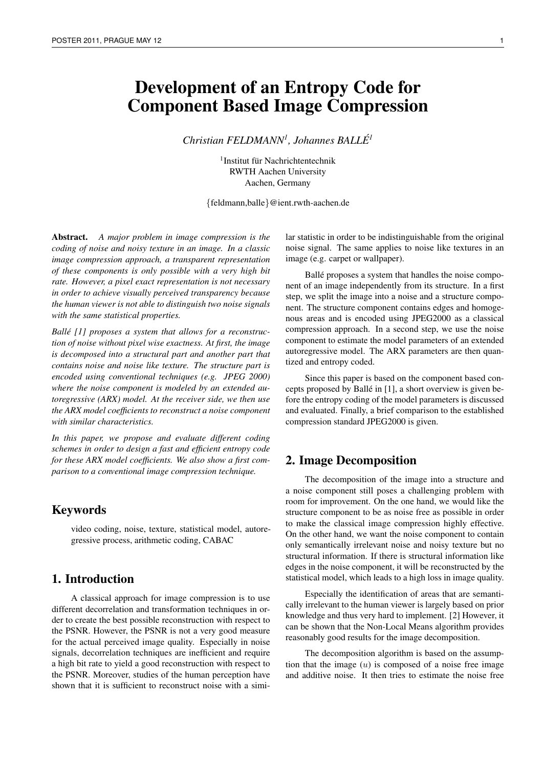# Development of an Entropy Code for Component Based Image Compression

*Christian FELDMANN<sup>1</sup> , Johannes BALLE´<sup>1</sup>*

<sup>1</sup>Institut für Nachrichtentechnik RWTH Aachen University Aachen, Germany

{feldmann,balle}@ient.rwth-aachen.de

Abstract. *A major problem in image compression is the coding of noise and noisy texture in an image. In a classic image compression approach, a transparent representation of these components is only possible with a very high bit rate. However, a pixel exact representation is not necessary in order to achieve visually perceived transparency because the human viewer is not able to distinguish two noise signals with the same statistical properties.*

*Ballé [1] proposes a system that allows for a reconstruction of noise without pixel wise exactness. At first, the image is decomposed into a structural part and another part that contains noise and noise like texture. The structure part is encoded using conventional techniques (e.g. JPEG 2000) where the noise component is modeled by an extended autoregressive (ARX) model. At the receiver side, we then use the ARX model coefficients to reconstruct a noise component with similar characteristics.*

*In this paper, we propose and evaluate different coding schemes in order to design a fast and efficient entropy code for these ARX model coefficients. We also show a first comparison to a conventional image compression technique.*

## Keywords

video coding, noise, texture, statistical model, autoregressive process, arithmetic coding, CABAC

# 1. Introduction

A classical approach for image compression is to use different decorrelation and transformation techniques in order to create the best possible reconstruction with respect to the PSNR. However, the PSNR is not a very good measure for the actual perceived image quality. Especially in noise signals, decorrelation techniques are inefficient and require a high bit rate to yield a good reconstruction with respect to the PSNR. Moreover, studies of the human perception have shown that it is sufficient to reconstruct noise with a similar statistic in order to be indistinguishable from the original noise signal. The same applies to noise like textures in an image (e.g. carpet or wallpaper).

Ballé proposes a system that handles the noise component of an image independently from its structure. In a first step, we split the image into a noise and a structure component. The structure component contains edges and homogenous areas and is encoded using JPEG2000 as a classical compression approach. In a second step, we use the noise component to estimate the model parameters of an extended autoregressive model. The ARX parameters are then quantized and entropy coded.

Since this paper is based on the component based concepts proposed by Balle in [1], a short overview is given be- ´ fore the entropy coding of the model parameters is discussed and evaluated. Finally, a brief comparison to the established compression standard JPEG2000 is given.

## 2. Image Decomposition

The decomposition of the image into a structure and a noise component still poses a challenging problem with room for improvement. On the one hand, we would like the structure component to be as noise free as possible in order to make the classical image compression highly effective. On the other hand, we want the noise component to contain only semantically irrelevant noise and noisy texture but no structural information. If there is structural information like edges in the noise component, it will be reconstructed by the statistical model, which leads to a high loss in image quality.

Especially the identification of areas that are semantically irrelevant to the human viewer is largely based on prior knowledge and thus very hard to implement. [2] However, it can be shown that the Non-Local Means algorithm provides reasonably good results for the image decomposition.

The decomposition algorithm is based on the assumption that the image  $(u)$  is composed of a noise free image and additive noise. It then tries to estimate the noise free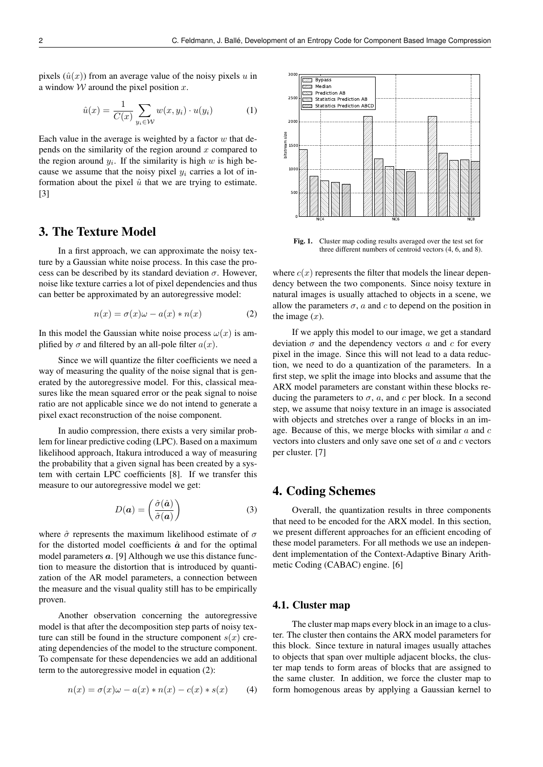pixels  $(\hat{u}(x))$  from an average value of the noisy pixels u in a window  $W$  around the pixel position  $x$ .

$$
\hat{u}(x) = \frac{1}{C(x)} \sum_{y_i \in \mathcal{W}} w(x, y_i) \cdot u(y_i) \tag{1}
$$

Each value in the average is weighted by a factor  $w$  that depends on the similarity of the region around  $x$  compared to the region around  $y_i$ . If the similarity is high  $w$  is high because we assume that the noisy pixel  $y_i$  carries a lot of information about the pixel  $\hat{u}$  that we are trying to estimate. [3]

## 3. The Texture Model

In a first approach, we can approximate the noisy texture by a Gaussian white noise process. In this case the process can be described by its standard deviation  $\sigma$ . However, noise like texture carries a lot of pixel dependencies and thus can better be approximated by an autoregressive model:

$$
n(x) = \sigma(x)\omega - a(x) * n(x) \tag{2}
$$

In this model the Gaussian white noise process  $\omega(x)$  is amplified by  $\sigma$  and filtered by an all-pole filter  $a(x)$ .

Since we will quantize the filter coefficients we need a way of measuring the quality of the noise signal that is generated by the autoregressive model. For this, classical measures like the mean squared error or the peak signal to noise ratio are not applicable since we do not intend to generate a pixel exact reconstruction of the noise component.

In audio compression, there exists a very similar problem for linear predictive coding (LPC). Based on a maximum likelihood approach, Itakura introduced a way of measuring the probability that a given signal has been created by a system with certain LPC coefficients [8]. If we transfer this measure to our autoregressive model we get:

$$
D(\boldsymbol{a}) = \left(\frac{\hat{\sigma}(\hat{\boldsymbol{a}})}{\hat{\sigma}(\boldsymbol{a})}\right) \tag{3}
$$

where  $\hat{\sigma}$  represents the maximum likelihood estimate of  $\sigma$ for the distorted model coefficients  $\hat{a}$  and for the optimal model parameters  $\boldsymbol{a}$ . [9] Although we use this distance function to measure the distortion that is introduced by quantization of the AR model parameters, a connection between the measure and the visual quality still has to be empirically proven.

Another observation concerning the autoregressive model is that after the decomposition step parts of noisy texture can still be found in the structure component  $s(x)$  creating dependencies of the model to the structure component. To compensate for these dependencies we add an additional term to the autoregressive model in equation (2):

$$
n(x) = \sigma(x)\omega - a(x) * n(x) - c(x) * s(x) \tag{4}
$$



Fig. 1. Cluster map coding results averaged over the test set for three different numbers of centroid vectors (4, 6, and 8).

where  $c(x)$  represents the filter that models the linear dependency between the two components. Since noisy texture in natural images is usually attached to objects in a scene, we allow the parameters  $\sigma$ , a and c to depend on the position in the image  $(x)$ .

If we apply this model to our image, we get a standard deviation  $\sigma$  and the dependency vectors  $a$  and  $c$  for every pixel in the image. Since this will not lead to a data reduction, we need to do a quantization of the parameters. In a first step, we split the image into blocks and assume that the ARX model parameters are constant within these blocks reducing the parameters to  $\sigma$ ,  $a$ , and  $c$  per block. In a second step, we assume that noisy texture in an image is associated with objects and stretches over a range of blocks in an image. Because of this, we merge blocks with similar  $a$  and  $c$ vectors into clusters and only save one set of  $a$  and  $c$  vectors per cluster. [7]

## 4. Coding Schemes

Overall, the quantization results in three components that need to be encoded for the ARX model. In this section, we present different approaches for an efficient encoding of these model parameters. For all methods we use an independent implementation of the Context-Adaptive Binary Arithmetic Coding (CABAC) engine. [6]

#### 4.1. Cluster map

The cluster map maps every block in an image to a cluster. The cluster then contains the ARX model parameters for this block. Since texture in natural images usually attaches to objects that span over multiple adjacent blocks, the cluster map tends to form areas of blocks that are assigned to the same cluster. In addition, we force the cluster map to form homogenous areas by applying a Gaussian kernel to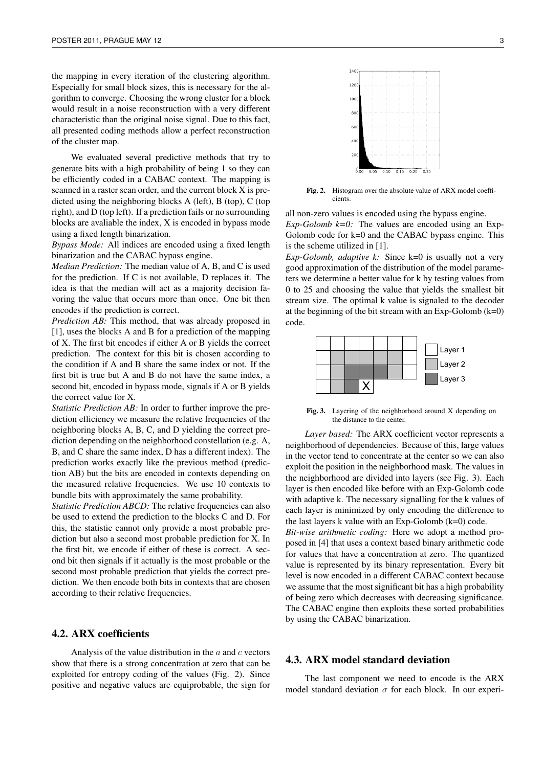the mapping in every iteration of the clustering algorithm. Especially for small block sizes, this is necessary for the algorithm to converge. Choosing the wrong cluster for a block would result in a noise reconstruction with a very different characteristic than the original noise signal. Due to this fact, all presented coding methods allow a perfect reconstruction of the cluster map.

We evaluated several predictive methods that try to generate bits with a high probability of being 1 so they can be efficiently coded in a CABAC context. The mapping is scanned in a raster scan order, and the current block X is predicted using the neighboring blocks A (left), B (top), C (top right), and D (top left). If a prediction fails or no surrounding blocks are avaliable the index, X is encoded in bypass mode using a fixed length binarization.

*Bypass Mode:* All indices are encoded using a fixed length binarization and the CABAC bypass engine.

*Median Prediction:* The median value of A, B, and C is used for the prediction. If C is not available, D replaces it. The idea is that the median will act as a majority decision favoring the value that occurs more than once. One bit then encodes if the prediction is correct.

*Prediction AB:* This method, that was already proposed in [1], uses the blocks A and B for a prediction of the mapping of X. The first bit encodes if either A or B yields the correct prediction. The context for this bit is chosen according to the condition if A and B share the same index or not. If the first bit is true but A and B do not have the same index, a second bit, encoded in bypass mode, signals if A or B yields the correct value for X.

*Statistic Prediction AB:* In order to further improve the prediction efficiency we measure the relative frequencies of the neighboring blocks A, B, C, and D yielding the correct prediction depending on the neighborhood constellation (e.g. A, B, and C share the same index, D has a different index). The prediction works exactly like the previous method (prediction AB) but the bits are encoded in contexts depending on the measured relative frequencies. We use 10 contexts to bundle bits with approximately the same probability.

*Statistic Prediction ABCD:* The relative frequencies can also be used to extend the prediction to the blocks C and D. For this, the statistic cannot only provide a most probable prediction but also a second most probable prediction for X. In the first bit, we encode if either of these is correct. A second bit then signals if it actually is the most probable or the second most probable prediction that yields the correct prediction. We then encode both bits in contexts that are chosen according to their relative frequencies.

#### 4.2. ARX coefficients

Analysis of the value distribution in the  $a$  and  $c$  vectors show that there is a strong concentration at zero that can be exploited for entropy coding of the values (Fig. 2). Since positive and negative values are equiprobable, the sign for



Fig. 2. Histogram over the absolute value of ARX model coefficients.

all non-zero values is encoded using the bypass engine. *Exp-Golomb k=0:* The values are encoded using an Exp-Golomb code for  $k=0$  and the CABAC bypass engine. This is the scheme utilized in [1].

*Exp-Golomb, adaptive k:* Since k=0 is usually not a very good approximation of the distribution of the model parameters we determine a better value for k by testing values from 0 to 25 and choosing the value that yields the smallest bit stream size. The optimal k value is signaled to the decoder at the beginning of the bit stream with an Exp-Golomb  $(k=0)$ code.



Fig. 3. Layering of the neighborhood around X depending on the distance to the center.

*Layer based:* The ARX coefficient vector represents a neighborhood of dependencies. Because of this, large values in the vector tend to concentrate at the center so we can also exploit the position in the neighborhood mask. The values in the neighborhood are divided into layers (see Fig. 3). Each layer is then encoded like before with an Exp-Golomb code with adaptive k. The necessary signalling for the k values of each layer is minimized by only encoding the difference to the last layers  $k$  value with an Exp-Golomb  $(k=0)$  code.

*Bit-wise arithmetic coding:* Here we adopt a method proposed in [4] that uses a context based binary arithmetic code for values that have a concentration at zero. The quantized value is represented by its binary representation. Every bit level is now encoded in a different CABAC context because we assume that the most significant bit has a high probability of being zero which decreases with decreasing significance. The CABAC engine then exploits these sorted probabilities by using the CABAC binarization.

#### 4.3. ARX model standard deviation

The last component we need to encode is the ARX model standard deviation  $\sigma$  for each block. In our experi-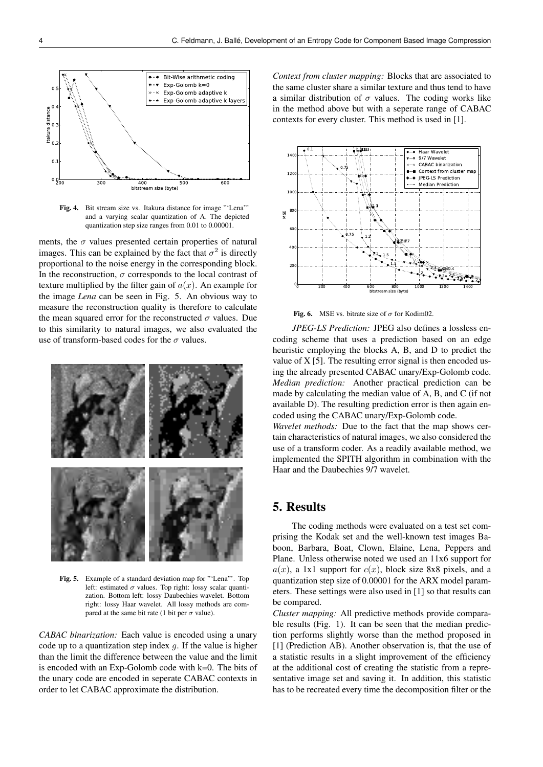

Fig. 4. Bit stream size vs. Itakura distance for image "'Lena"' and a varying scalar quantization of A. The depicted quantization step size ranges from 0.01 to 0.00001.

ments, the  $\sigma$  values presented certain properties of natural images. This can be explained by the fact that  $\sigma^2$  is directly proportional to the noise energy in the corresponding block. In the reconstruction,  $\sigma$  corresponds to the local contrast of texture multiplied by the filter gain of  $a(x)$ . An example for the image *Lena* can be seen in Fig. 5. An obvious way to measure the reconstruction quality is therefore to calculate the mean squared error for the reconstructed  $\sigma$  values. Due to this similarity to natural images, we also evaluated the use of transform-based codes for the  $\sigma$  values.



Fig. 5. Example of a standard deviation map for "'Lena"'. Top left: estimated  $\sigma$  values. Top right: lossy scalar quantization. Bottom left: lossy Daubechies wavelet. Bottom right: lossy Haar wavelet. All lossy methods are compared at the same bit rate (1 bit per  $\sigma$  value).

*CABAC binarization:* Each value is encoded using a unary code up to a quantization step index  $q$ . If the value is higher than the limit the difference between the value and the limit is encoded with an Exp-Golomb code with k=0. The bits of the unary code are encoded in seperate CABAC contexts in order to let CABAC approximate the distribution.

*Context from cluster mapping:* Blocks that are associated to the same cluster share a similar texture and thus tend to have a similar distribution of  $\sigma$  values. The coding works like in the method above but with a seperate range of CABAC contexts for every cluster. This method is used in [1].



Fig. 6. MSE vs. bitrate size of  $\sigma$  for Kodim02.

*JPEG-LS Prediction:* JPEG also defines a lossless encoding scheme that uses a prediction based on an edge heuristic employing the blocks A, B, and D to predict the value of  $X$  [5]. The resulting error signal is then encoded using the already presented CABAC unary/Exp-Golomb code. *Median prediction:* Another practical prediction can be made by calculating the median value of A, B, and C (if not available D). The resulting prediction error is then again encoded using the CABAC unary/Exp-Golomb code.

*Wavelet methods:* Due to the fact that the map shows certain characteristics of natural images, we also considered the use of a transform coder. As a readily available method, we implemented the SPITH algorithm in combination with the Haar and the Daubechies 9/7 wavelet.

#### 5. Results

The coding methods were evaluated on a test set comprising the Kodak set and the well-known test images Baboon, Barbara, Boat, Clown, Elaine, Lena, Peppers and Plane. Unless otherwise noted we used an 11x6 support for  $a(x)$ , a 1x1 support for  $c(x)$ , block size 8x8 pixels, and a quantization step size of 0.00001 for the ARX model parameters. These settings were also used in [1] so that results can be compared.

*Cluster mapping:* All predictive methods provide comparable results (Fig. 1). It can be seen that the median prediction performs slightly worse than the method proposed in [1] (Prediction AB). Another observation is, that the use of a statistic results in a slight improvement of the efficiency at the additional cost of creating the statistic from a representative image set and saving it. In addition, this statistic has to be recreated every time the decomposition filter or the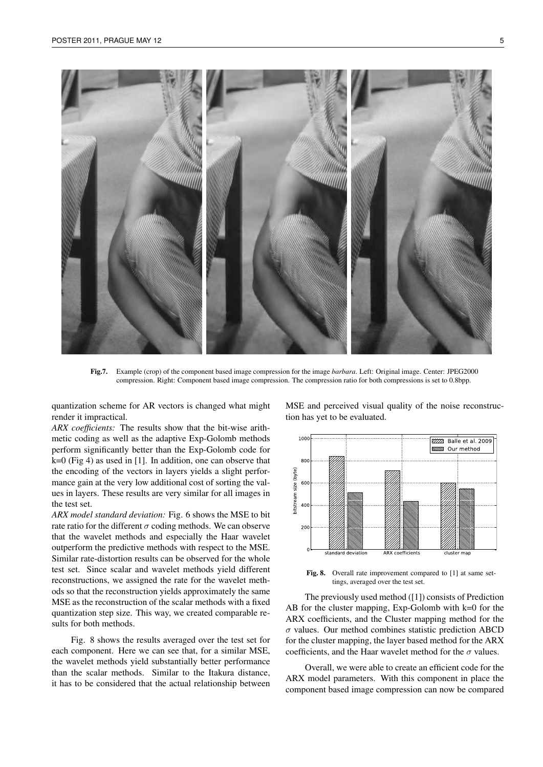

Fig.7. Example (crop) of the component based image compression for the image *barbara*. Left: Original image. Center: JPEG2000 compression. Right: Component based image compression. The compression ratio for both compressions is set to 0.8bpp.

quantization scheme for AR vectors is changed what might render it impractical.

*ARX coefficients:* The results show that the bit-wise arithmetic coding as well as the adaptive Exp-Golomb methods perform significantly better than the Exp-Golomb code for k=0 (Fig 4) as used in [1]. In addition, one can observe that the encoding of the vectors in layers yields a slight performance gain at the very low additional cost of sorting the values in layers. These results are very similar for all images in the test set.

*ARX model standard deviation:* Fig. 6 shows the MSE to bit rate ratio for the different  $\sigma$  coding methods. We can observe that the wavelet methods and especially the Haar wavelet outperform the predictive methods with respect to the MSE. Similar rate-distortion results can be observed for the whole test set. Since scalar and wavelet methods yield different reconstructions, we assigned the rate for the wavelet methods so that the reconstruction yields approximately the same MSE as the reconstruction of the scalar methods with a fixed quantization step size. This way, we created comparable results for both methods.

Fig. 8 shows the results averaged over the test set for each component. Here we can see that, for a similar MSE, the wavelet methods yield substantially better performance than the scalar methods. Similar to the Itakura distance, it has to be considered that the actual relationship between MSE and perceived visual quality of the noise reconstruction has yet to be evaluated.



Fig. 8. Overall rate improvement compared to [1] at same settings, averaged over the test set.

The previously used method ([1]) consists of Prediction AB for the cluster mapping, Exp-Golomb with k=0 for the ARX coefficients, and the Cluster mapping method for the  $\sigma$  values. Our method combines statistic prediction ABCD for the cluster mapping, the layer based method for the ARX coefficients, and the Haar wavelet method for the  $\sigma$  values.

Overall, we were able to create an efficient code for the ARX model parameters. With this component in place the component based image compression can now be compared